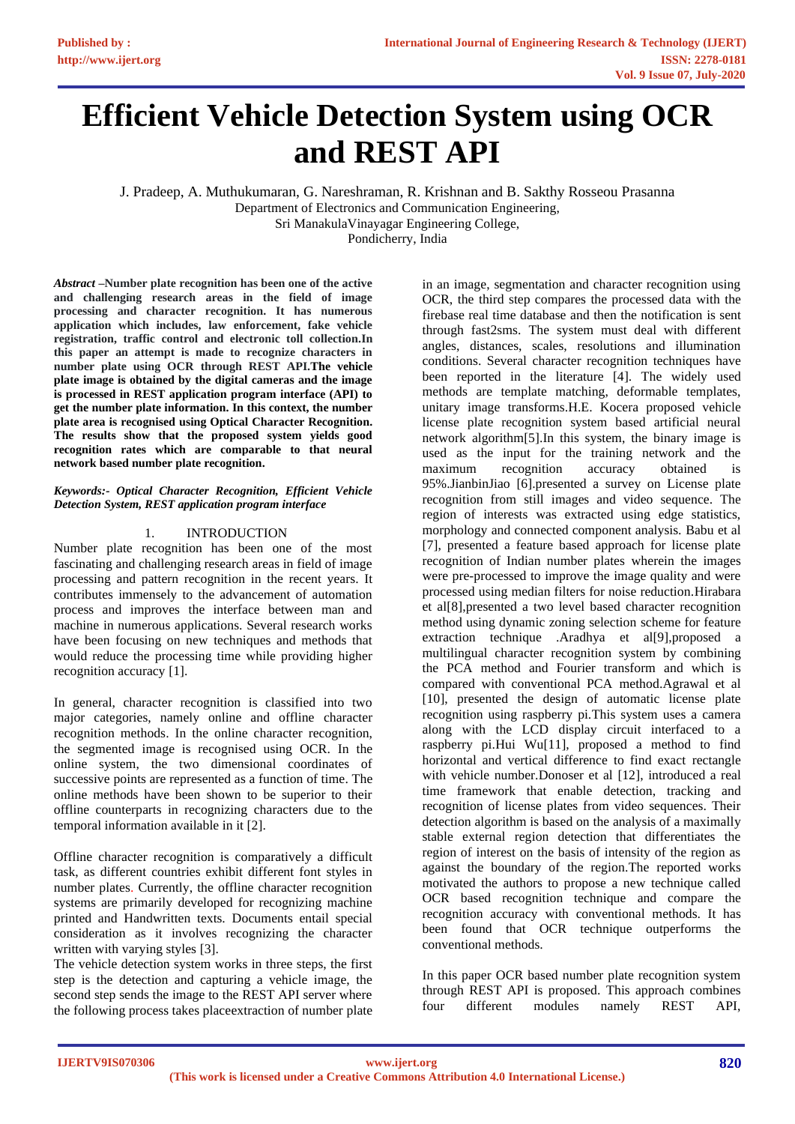# **Efficient Vehicle Detection System using OCR and REST API**

J. Pradeep, A. Muthukumaran, G. Nareshraman, R. Krishnan and B. Sakthy Rosseou Prasanna Department of [Electronics and Communication Engineering,](http://ece.pec.edu/) Sri ManakulaVinayagar Engineering College,

Pondicherry, India

*Abstract –***Number plate recognition has been one of the active and challenging research areas in the field of image processing and character recognition. It has numerous application which includes, law enforcement, fake vehicle registration, traffic control and electronic toll collection.In this paper an attempt is made to recognize characters in number plate using OCR through REST API.The vehicle plate image is obtained by the digital cameras and the image is processed in REST application program interface (API) to get the number plate information. In this context, the number plate area is recognised using Optical Character Recognition. The results show that the proposed system yields good recognition rates which are comparable to that neural network based number plate recognition.**

#### *Keywords:- Optical Character Recognition, Efficient Vehicle Detection System, REST application program interface*

## 1. INTRODUCTION

Number plate recognition has been one of the most fascinating and challenging research areas in field of image processing and pattern recognition in the recent years. It contributes immensely to the advancement of automation process and improves the interface between man and machine in numerous applications. Several research works have been focusing on new techniques and methods that would reduce the processing time while providing higher recognition accuracy [1].

In general, character recognition is classified into two major categories, namely online and offline character recognition methods. In the online character recognition, the segmented image is recognised using OCR. In the online system, the two dimensional coordinates of successive points are represented as a function of time. The online methods have been shown to be superior to their offline counterparts in recognizing characters due to the temporal information available in it [2].

Offline character recognition is comparatively a difficult task, as different countries exhibit different font styles in number plates. Currently, the offline character recognition systems are primarily developed for recognizing machine printed and Handwritten texts. Documents entail special consideration as it involves recognizing the character written with varying styles [3].

The vehicle detection system works in three steps, the first step is the detection and capturing a vehicle image, the second step sends the image to the REST API server where the following process takes placeextraction of number plate

in an image, segmentation and character recognition using OCR, the third step compares the processed data with the firebase real time database and then the notification is sent through fast2sms. The system must deal with different angles, distances, scales, resolutions and illumination conditions. Several character recognition techniques have been reported in the literature [4]. The widely used methods are template matching, deformable templates, unitary image transforms.H.E. Kocera proposed vehicle license plate recognition system based artificial neural network algorithm[5].In this system, the binary image is used as the input for the training network and the maximum recognition accuracy obtained is 95%.JianbinJiao [6].presented a survey on License plate recognition from still images and video sequence. The region of interests was extracted using edge statistics, morphology and connected component analysis. Babu et al [7], presented a feature based approach for license plate recognition of Indian number plates wherein the images were pre-processed to improve the image quality and were processed using median filters for noise reduction.Hirabara et al[8],presented a two level based character recognition method using dynamic zoning selection scheme for feature extraction technique .Aradhya et al[9],proposed a multilingual character recognition system by combining the PCA method and Fourier transform and which is compared with conventional PCA method.Agrawal et al [10], presented the design of automatic license plate recognition using raspberry pi.This system uses a camera along with the LCD display circuit interfaced to a raspberry pi.Hui Wu[11], proposed a method to find horizontal and vertical difference to find exact rectangle with vehicle number. Donoser et al [12], introduced a real time framework that enable detection, tracking and recognition of license plates from video sequences. Their detection algorithm is based on the analysis of a maximally stable external region detection that differentiates the region of interest on the basis of intensity of the region as against the boundary of the region.The reported works motivated the authors to propose a new technique called OCR based recognition technique and compare the recognition accuracy with conventional methods. It has been found that OCR technique outperforms the conventional methods.

In this paper OCR based number plate recognition system through REST API is proposed. This approach combines four different modules namely REST API,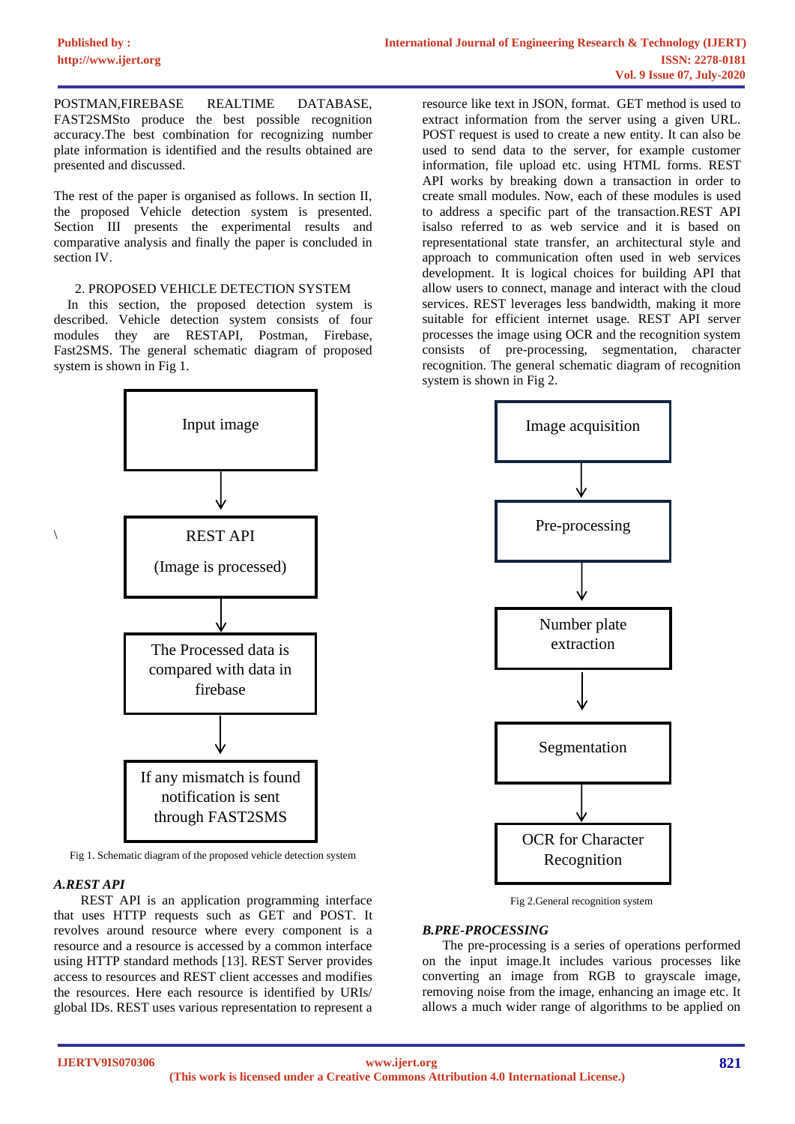POSTMAN,FIREBASE REALTIME DATABASE, FAST2SMSto produce the best possible recognition accuracy.The best combination for recognizing number plate information is identified and the results obtained are presented and discussed.

The rest of the paper is organised as follows. In section II, the proposed Vehicle detection system is presented. Section III presents the experimental results and comparative analysis and finally the paper is concluded in section IV.

#### 2. PROPOSED VEHICLE DETECTION SYSTEM

 In this section, the proposed detection system is described. Vehicle detection system consists of four modules they are RESTAPI, Postman, Firebase, Fast2SMS. The general schematic diagram of proposed system is shown in Fig 1.



Fig 1. Schematic diagram of the proposed vehicle detection system

## *A.REST API*

\

 REST API is an application programming interface that uses HTTP requests such as GET and POST. It revolves around resource where every component is a resource and a resource is accessed by a common interface using HTTP standard methods [13]. REST Server provides access to resources and REST client accesses and modifies the resources. Here each resource is identified by URIs/ global IDs. REST uses various representation to represent a

resource like text in JSON, format. GET method is used to extract information from the server using a given URL. POST request is used to create a new entity. It can also be used to send data to the server, for example customer information, file upload etc. using HTML forms. REST API works by breaking down a transaction in order to create small modules. Now, each of these modules is used to address a specific part of the transaction.REST API isalso referred to as web service and it is based on representational state transfer, an architectural style and approach to communication often used in web services development. It is logical choices for building API that allow users to connect, manage and interact with the cloud services. REST leverages less bandwidth, making it more suitable for efficient internet usage. REST API server processes the image using OCR and the recognition system consists of pre-processing, segmentation, character recognition. The general schematic diagram of recognition system is shown in Fig 2.



Fig 2.General recognition system

# *B.PRE-PROCESSING*

 The pre-processing is a series of operations performed on the input image.It includes various processes like converting an image from RGB to grayscale image, removing noise from the image, enhancing an image etc. It allows a much wider range of algorithms to be applied on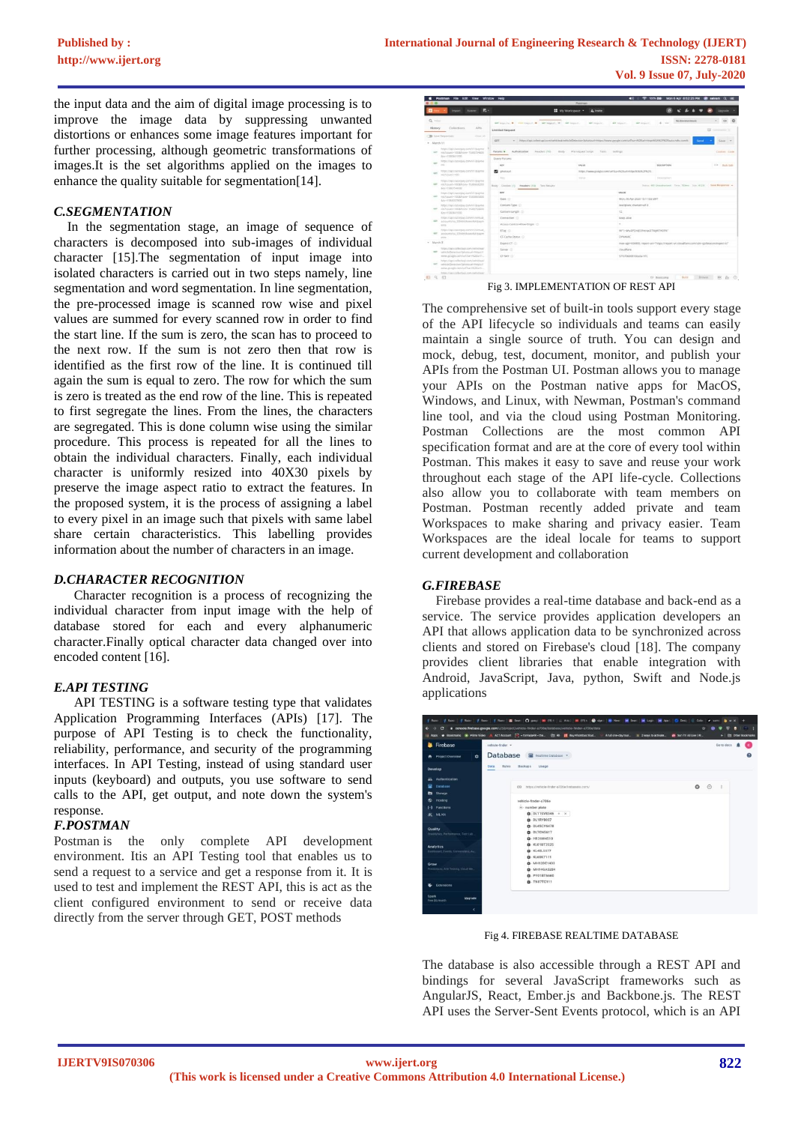the input data and the aim of digital image processing is to improve the image data by suppressing unwanted distortions or enhances some image features important for further processing, although geometric transformations of images.It is the set algorithms applied on the images to enhance the quality suitable for segmentation[14].

## *C.SEGMENTATION*

 In the segmentation stage, an image of sequence of characters is decomposed into sub-images of individual character [15].The segmentation of input image into isolated characters is carried out in two steps namely, line segmentation and word segmentation. In line segmentation, the pre-processed image is scanned row wise and pixel values are summed for every scanned row in order to find the start line. If the sum is zero, the scan has to proceed to the next row. If the sum is not zero then that row is identified as the first row of the line. It is continued till again the sum is equal to zero. The row for which the sum is zero is treated as the end row of the line. This is repeated to first segregate the lines. From the lines, the characters are segregated. This is done column wise using the similar procedure. This process is repeated for all the lines to obtain the individual characters. Finally, each individual character is uniformly resized into 40X30 pixels by preserve the image aspect ratio to extract the features. In the proposed system, it is the process of assigning a label to every pixel in an image such that pixels with same label share certain characteristics. This labelling provides information about the number of characters in an image.

## *D.CHARACTER RECOGNITION*

 Character recognition is a process of recognizing the individual character from input image with the help of database stored for each and every alphanumeric character.Finally optical character data changed over into encoded content [16].

# *E.API TESTING*

 API TESTING is a software testing type that validates Application Programming Interfaces (APIs) [17]. The purpose of API Testing is to check the functionality, reliability, performance, and security of the programming interfaces. In API Testing, instead of using standard user inputs (keyboard) and outputs, you use software to send calls to the API, get output, and note down the system's response.

# *F.POSTMAN*

Postman is the only complete API development environment. Itis an API Testing tool that enables us to send a request to a service and get a response from it. It is used to test and implement the REST API, this is act as the client configured environment to send or receive data directly from the server through GET, POST methods

|            |                                                                                                    | в.<br>Bunner                                                                                                     | " My Workspace "                                    | 2. texts                                                                                                                    | Unerativ                                                                                                          |  |  |  |
|------------|----------------------------------------------------------------------------------------------------|------------------------------------------------------------------------------------------------------------------|-----------------------------------------------------|-----------------------------------------------------------------------------------------------------------------------------|-------------------------------------------------------------------------------------------------------------------|--|--|--|
| $Q$ inter- |                                                                                                    |                                                                                                                  |                                                     | <b>WAY HASSISTED</b><br>ART HOUSE,<br>air issue.                                                                            | No Environment<br>$\sim$<br>4 -                                                                                   |  |  |  |
|            | History                                                                                            | Collections<br>AP1c                                                                                              | Untitled Request                                    |                                                                                                                             | E2 Commercial                                                                                                     |  |  |  |
|            |                                                                                                    | <b>D</b> Save Responses<br>Crise of                                                                              |                                                     |                                                                                                                             |                                                                                                                   |  |  |  |
| * March 11 |                                                                                                    |                                                                                                                  | <b>CAT</b><br>۰                                     | https://api.collect.api.com/vehicles/kellas/iphotolas/charges/hwaw.google.com/url/savrk26uth101pp/k34/k2Fh2Eauto.ndbi.com/k | Send.<br>Save                                                                                                     |  |  |  |
|            |                                                                                                    |                                                                                                                  |                                                     |                                                                                                                             |                                                                                                                   |  |  |  |
|            | https://ppi.racorpay.com/v1/bayrtel<br>enzimate-toppleave 1580754600<br>san 1<br>Report SEO 641000 |                                                                                                                  | Paramic e<br>Authorization:<br>Headers (1th<br>Kody | Pre-request Script<br>Tests Sattings                                                                                        | Cookiel Code                                                                                                      |  |  |  |
|            | <b>STE</b>                                                                                         | Nito: Ingl. raceraw, convv1isioner<br>m                                                                          | <b>Donry Params</b>                                 |                                                                                                                             |                                                                                                                   |  |  |  |
|            |                                                                                                    |                                                                                                                  | serv.                                               | <b>NALUE</b>                                                                                                                | <b>DESCRIPTION</b><br>een in Build Suite                                                                          |  |  |  |
|            | $-$                                                                                                | Nitps://spcrazoipas.com/VTrb/ome<br>His/country100                                                               | ◛<br>photourt                                       | Tel: //www.pspala.com/url%av/%26url+6ttp://c34%27%2fv                                                                       |                                                                                                                   |  |  |  |
|            |                                                                                                    |                                                                                                                  | <b>Warr</b>                                         | Think                                                                                                                       | Description                                                                                                       |  |  |  |
|            | <b>KIT</b>                                                                                         | https://api.ristorpay.com/v1/bayma<br>HILTONIC-TOOST-UVA TERRICATED<br>ArevitA0754606                            | Beav Cookies (1) Headers (10) Test Assults          |                                                                                                                             | Suite 40 Onastacland, Toyo 300mi, Suit 412 E. Save Response +                                                     |  |  |  |
|            |                                                                                                    | https://api.razorsay.comin/irpanne<br>History/HODA/Horry-TSR3805000<br>Any CASTONS                               | ser                                                 | <b>MALAN</b>                                                                                                                |                                                                                                                   |  |  |  |
|            | ser.                                                                                               |                                                                                                                  | Date (C)                                            | Mon, 06 Apr 2020 15:11:03 GMT                                                                                               |                                                                                                                   |  |  |  |
|            |                                                                                                    | https://api.racorpay.com/v1/payme<br>AND NAMES OF DESCRIPTION OF REAL PROPERTY.<br>Arey 15/03/1000               | Content-Type (2)                                    | text/plain; charger-utl-8.                                                                                                  |                                                                                                                   |  |  |  |
|            | sign:                                                                                              |                                                                                                                  | Content Length (2)                                  | 12                                                                                                                          |                                                                                                                   |  |  |  |
|            |                                                                                                    | https://api.racbro.in/com/v1/virtual.                                                                            | Contention CI                                       | <b>Bang-alive</b>                                                                                                           |                                                                                                                   |  |  |  |
|            | ser.                                                                                               | accounts/va EENIX/AnneyNAttains                                                                                  | Access Control-Allow Orlean -C-                     |                                                                                                                             | $\sim$                                                                                                            |  |  |  |
|            |                                                                                                    | anni.                                                                                                            |                                                     |                                                                                                                             |                                                                                                                   |  |  |  |
|            |                                                                                                    | <b>MEDICINES ASSESSED CONVY THAT ARE</b><br>accountance EEMPUMontahinguyer.<br>sin's                             | ETAg : O-                                           | W/'t-SKADFOr@StherqxDTNgW3ADfW'                                                                                             |                                                                                                                   |  |  |  |
|            |                                                                                                    |                                                                                                                  | OF-Cathe-Status (2)                                 | <b>DYNAMIC</b>                                                                                                              |                                                                                                                   |  |  |  |
|            | w. March S.                                                                                        |                                                                                                                  | Expect-CT (C)                                       |                                                                                                                             | max-apa-604855, report-unv*https://report-uni.cloudfare.com/cdn-cp/beacon/expect-cf*                              |  |  |  |
|            | are:                                                                                               | Total video content and record of the<br>vehicleDetection/Ishakourivhita's)<br>www.google.com/urtha-militarist.c | Senar ID                                            | countary                                                                                                                    |                                                                                                                   |  |  |  |
|            |                                                                                                    |                                                                                                                  | <b>CFAAY</b> (C)                                    | S76706dGEMAnh ATL                                                                                                           |                                                                                                                   |  |  |  |
|            | man.                                                                                               | https://api.collectad.i.com/vehicleas/<br>ushidaDenerias/bhancuri-helpic/f<br>www.google.com/urDux+N2Karl+       |                                                     |                                                                                                                             |                                                                                                                   |  |  |  |
|            |                                                                                                    | https://apr.colectari.com/whichia/                                                                               |                                                     |                                                                                                                             |                                                                                                                   |  |  |  |
| 日々         |                                                                                                    | 苟                                                                                                                |                                                     |                                                                                                                             | $\lim_{n\to\infty}\qquad \boxplus \quad \mathbb{B}\quad \boxplus \quad \oslash$<br><b>Baldist</b><br>tir Bestrang |  |  |  |

The comprehensive set of built-in tools support every stage of the API lifecycle so individuals and teams can easily maintain a single source of truth. You can design and mock, debug, test, document, monitor, and publish your APIs from the Postman UI. Postman allows you to manage your APIs on the Postman native apps for MacOS, Windows, and Linux, with Newman, Postman's command line tool, and via the cloud using Postman Monitoring. Postman Collections are the most common API specification format and are at the core of every tool within Postman. This makes it easy to save and reuse your work throughout each stage of the API life-cycle. Collections also allow you to collaborate with team members on Postman. Postman recently added private and team Workspaces to make sharing and privacy easier. Team Workspaces are the ideal locale for teams to support current development and collaboration

## *G.FIREBASE*

 Firebase provides a real-time database and back-end as a service. The service provides application developers an API that allows application data to be synchronized across clients and stored on Firebase's cloud [18]. The company provides client libraries that enable integration with Android, JavaScript, Java, python, Swift and Node.js applications

| Firebase<br>∙                                           | vehicle-finder =                                |         |         | Go to docs    |  |
|---------------------------------------------------------|-------------------------------------------------|---------|---------|---------------|--|
| $\bullet$<br><b>A</b> Project Overview                  | Database<br><b>E Realtime Database Y</b>        |         |         |               |  |
| Develop                                                 | Backups<br>Usege<br>Rales<br><b>Data</b>        |         |         |               |  |
| Authentication<br>亠                                     |                                                 |         |         |               |  |
| e<br>Database                                           | GD https://vehicle-finder-a706e.firebaselo.com/ | $\circ$ | $\circ$ | $\frac{1}{2}$ |  |
| Storage<br>m                                            |                                                 |         |         |               |  |
| Hosting<br>ଚ                                            | vehicle-finder-a705e                            |         |         |               |  |
| Functions<br>64                                         | R- number plate                                 |         |         |               |  |
| $M$ MLKE                                                | $B - DL115V8346 + x$                            |         |         |               |  |
|                                                         | <b>D</b> -DL1RY8037                             |         |         |               |  |
| Quality                                                 | <b>CL</b> DL4SCY6478                            |         |         |               |  |
| Crashietics, Performance, Test Lidr.,                   | <b>D</b> -DL7CN5617                             |         |         |               |  |
|                                                         | <b>CL.</b> HR36W4510<br><b>D</b> KL01BT2525     |         |         |               |  |
| <b>Analytics</b><br>Dashboard, Events, Conventions, Au. | <b>CE-KL40L5577</b>                             |         |         |               |  |
|                                                         | E KL65K7111                                     |         |         |               |  |
| Grow                                                    | <b>D</b> MH12DE1433                             |         |         |               |  |
| Predictions, A/6 Texting Cloud Me.                      | <b>CL MH14GA5284</b>                            |         |         |               |  |
|                                                         | <b>D</b> -PY018T6660                            |         |         |               |  |
| <b>&amp;</b> Extensions                                 | $D - TNS7TC111$                                 |         |         |               |  |

Fig 4. FIREBASE REALTIME DATABASE

The database is also accessible through a REST API and bindings for several JavaScript frameworks such as AngularJS, React, Ember.js and Backbone.js. The REST API uses the Server-Sent Events protocol, which is an API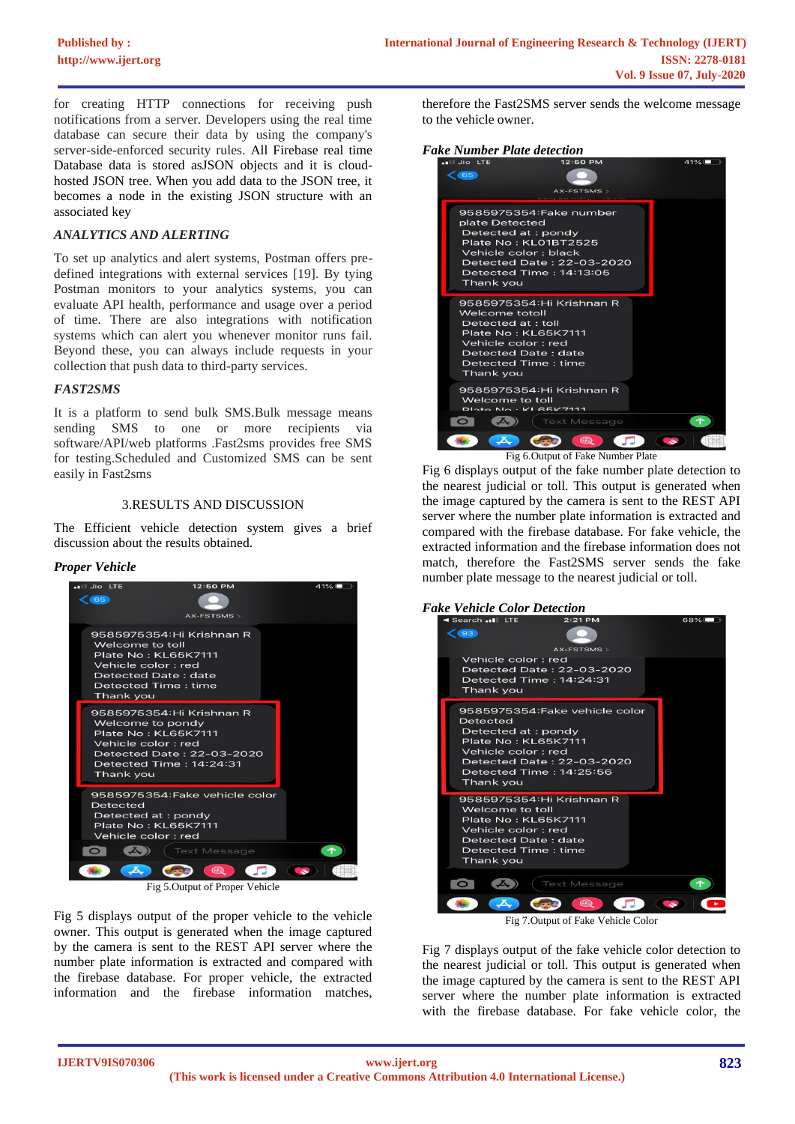for creating HTTP connections for receiving push notifications from a server. Developers using the real time database can secure their data by using the company's server-side-enforced security rules. All Firebase real time Database data is stored asJSON objects and it is cloudhosted JSON tree. When you add data to the JSON tree, it becomes a node in the existing JSON structure with an associated key

## *ANALYTICS AND ALERTING*

To set up analytics and alert systems, Postman offers predefined integrations with external services [19]. By tying Postman monitors to your analytics systems, you can evaluate API health, performance and usage over a period of time. There are also integrations with notification systems which can alert you whenever monitor runs fail. Beyond these, you can always include requests in your collection that push data to third-party services.

#### *FAST2SMS*

It is a platform to send bulk SMS.Bulk message means sending SMS to one or more recipients via software/API/web platforms .Fast2sms provides free SMS for testing.Scheduled and Customized SMS can be sent easily in Fast2sms

#### 3.RESULTS AND DISCUSSION

The Efficient vehicle detection system gives a brief discussion about the results obtained.

#### *Proper Vehicle*



Fig 5.Output of Proper Vehicle

Fig 5 displays output of the proper vehicle to the vehicle owner. This output is generated when the image captured by the camera is sent to the REST API server where the number plate information is extracted and compared with the firebase database. For proper vehicle, the extracted information and the firebase information matches,

therefore the Fast2SMS server sends the welcome message to the vehicle owner.

# *Fake Number Plate detection*



Fig 6 displays output of the fake number plate detection to the nearest judicial or toll. This output is generated when the image captured by the camera is sent to the REST API server where the number plate information is extracted and compared with the firebase database. For fake vehicle, the extracted information and the firebase information does not match, therefore the Fast2SMS server sends the fake number plate message to the nearest judicial or toll.

# *Fake Vehicle Color Detection*



Fig 7.Output of Fake Vehicle Color

Fig 7 displays output of the fake vehicle color detection to the nearest judicial or toll. This output is generated when the image captured by the camera is sent to the REST API server where the number plate information is extracted with the firebase database. For fake vehicle color, the